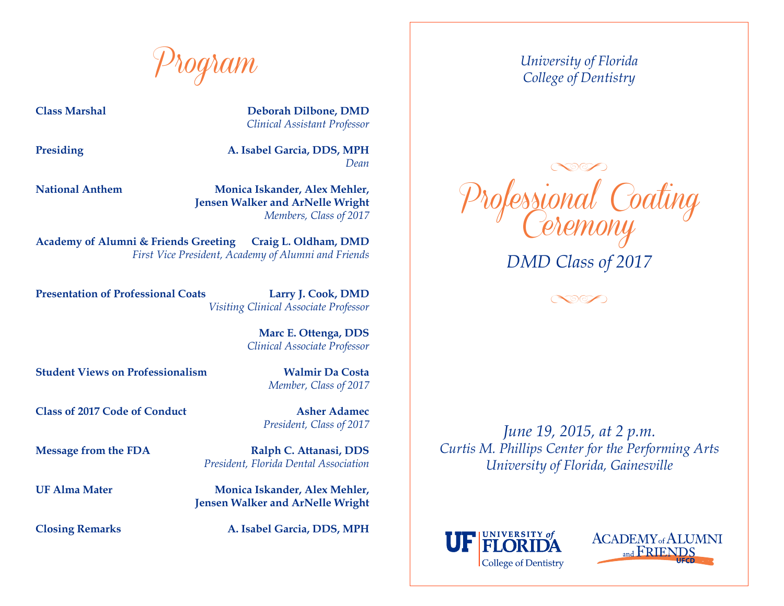Program

**Class Marshal Deborah Dilbone, DMD** *Clinical Assistant Professor*

**Presiding A. Isabel Garcia, DDS, MPH** *Dean*

**National Anthem Monica Iskander, Alex Mehler, Jensen Walker and ArNelle Wright** *Members, Class of 2017*

**Academy of Alumni & Friends Greeting Craig L. Oldham, DMD**  *First Vice President, Academy of Alumni and Friends*

**Presentation of Professional Coats Larry J. Cook, DMD** *Visiting Clinical Associate Professor*

**Marc E. Ottenga, DDS** 

*Clinical Associate Professor*

**Student Views on Professionalism Walmir Da Costa**

*Member, Class of 2017*

**Class of 2017 Code of Conduct Asher Adamec**

*President, Class of 2017*

**Message from the FDA Ralph C. Attanasi, DDS** *President, Florida Dental Association*

**UF Alma Mater Monica Iskander, Alex Mehler, Jensen Walker and ArNelle Wright**

**Closing Remarks A. Isabel Garcia, DDS, MPH**

*University of Florida College of Dentistry*



 $\infty$ 

*June 19, 2015, at 2 p.m. Curtis M. Phillips Center for the Performing Arts University of Florida, Gainesville*